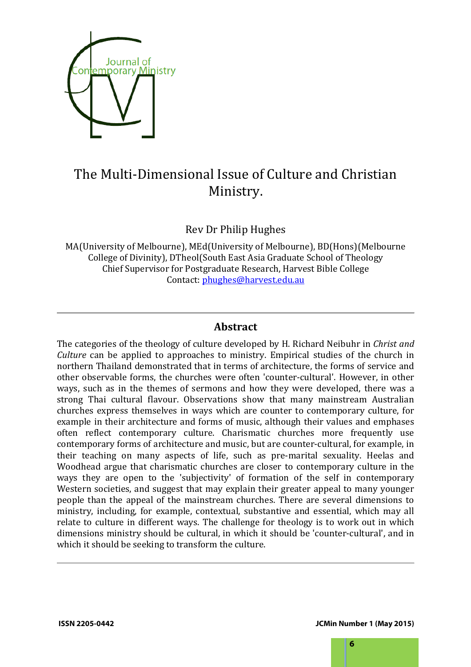

# The Multi-Dimensional Issue of Culture and Christian Ministry.

Rev Dr Philip Hughes

MA(University of Melbourne), MEd(University of Melbourne), BD(Hons)(Melbourne College of Divinity), DTheol(South East Asia Graduate School of Theology Chief Supervisor for Postgraduate Research, Harvest Bible College Contact: phughes@harvest.edu.au

# **Abstract**

The categories of the theology of culture developed by H. Richard Neibuhr in *Christ and Culture* can be applied to approaches to ministry. Empirical studies of the church in northern Thailand demonstrated that in terms of architecture, the forms of service and other observable forms, the churches were often 'counter-cultural'. However, in other ways, such as in the themes of sermons and how they were developed, there was a strong Thai cultural flavour. Observations show that many mainstream Australian churches express themselves in ways which are counter to contemporary culture, for example in their architecture and forms of music, although their values and emphases often reflect contemporary culture. Charismatic churches more frequently use contemporary forms of architecture and music, but are counter-cultural, for example, in their teaching on many aspects of life, such as pre-marital sexuality. Heelas and Woodhead argue that charismatic churches are closer to contemporary culture in the ways they are open to the 'subjectivity' of formation of the self in contemporary Western societies, and suggest that may explain their greater appeal to many younger people than the appeal of the mainstream churches. There are several dimensions to ministry, including, for example, contextual, substantive and essential, which may all relate to culture in different ways. The challenge for theology is to work out in which dimensions ministry should be cultural, in which it should be 'counter-cultural', and in which it should be seeking to transform the culture.

**ISSN 2205-0442 JCMin Number 1 (May 2015)**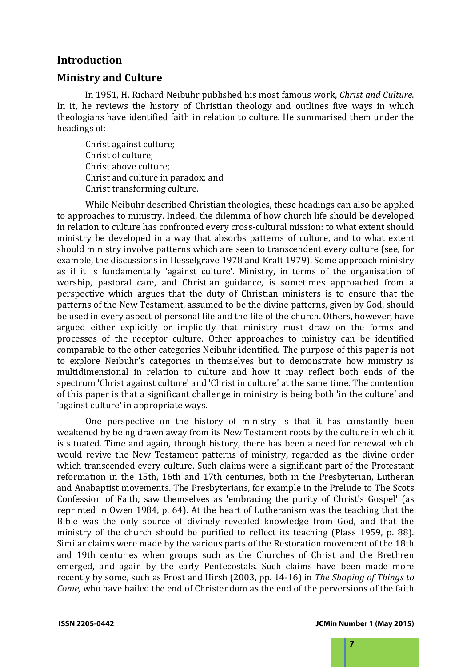### **Introduction**

### **Ministry and Culture**

In 1951, H. Richard Neibuhr published his most famous work, *Christ and Culture*. In it, he reviews the history of Christian theology and outlines five ways in which theologians have identified faith in relation to culture. He summarised them under the headings of:

Christ against culture; Christ of culture; Christ above culture; Christ and culture in paradox; and Christ transforming culture.

While Neibuhr described Christian theologies, these headings can also be applied to approaches to ministry. Indeed, the dilemma of how church life should be developed in relation to culture has confronted every cross-cultural mission: to what extent should ministry be developed in a way that absorbs patterns of culture, and to what extent should ministry involve patterns which are seen to transcendent every culture (see, for example, the discussions in Hesselgrave 1978 and Kraft 1979). Some approach ministry as if it is fundamentally 'against culture'. Ministry, in terms of the organisation of worship, pastoral care, and Christian guidance, is sometimes approached from a perspective which argues that the duty of Christian ministers is to ensure that the patterns of the New Testament, assumed to be the divine patterns, given by God, should be used in every aspect of personal life and the life of the church. Others, however, have argued either explicitly or implicitly that ministry must draw on the forms and processes of the receptor culture. Other approaches to ministry can be identified comparable to the other categories Neibuhr identified. The purpose of this paper is not to explore Neibuhr's categories in themselves but to demonstrate how ministry is multidimensional in relation to culture and how it may reflect both ends of the spectrum 'Christ against culture' and 'Christ in culture' at the same time. The contention of this paper is that a significant challenge in ministry is being both 'in the culture' and 'against culture' in appropriate ways.

One perspective on the history of ministry is that it has constantly been weakened by being drawn away from its New Testament roots by the culture in which it is situated. Time and again, through history, there has been a need for renewal which would revive the New Testament patterns of ministry, regarded as the divine order which transcended every culture. Such claims were a significant part of the Protestant reformation in the 15th, 16th and 17th centuries, both in the Presbyterian, Lutheran and Anabaptist movements. The Presbyterians, for example in the Prelude to The Scots Confession of Faith, saw themselves as 'embracing the purity of Christ's Gospel' (as reprinted in Owen 1984, p. 64). At the heart of Lutheranism was the teaching that the Bible was the only source of divinely revealed knowledge from God, and that the ministry of the church should be purified to reflect its teaching (Plass 1959, p. 88). Similar claims were made by the various parts of the Restoration movement of the 18th and 19th centuries when groups such as the Churches of Christ and the Brethren emerged, and again by the early Pentecostals. Such claims have been made more recently by some, such as Frost and Hirsh (2003, pp. 14-16) in *The Shaping of Things to Come,* who have hailed the end of Christendom as the end of the perversions of the faith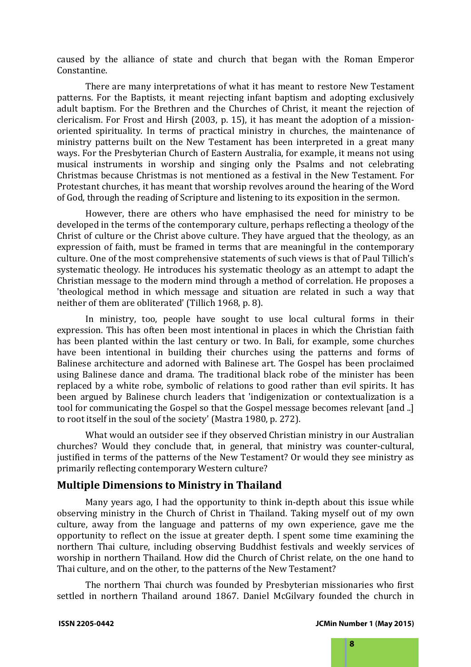caused by the alliance of state and church that began with the Roman Emperor Constantine.

There are many interpretations of what it has meant to restore New Testament patterns. For the Baptists, it meant rejecting infant baptism and adopting exclusively adult baptism. For the Brethren and the Churches of Christ, it meant the rejection of clericalism. For Frost and Hirsh (2003, p. 15), it has meant the adoption of a missionoriented spirituality. In terms of practical ministry in churches, the maintenance of ministry patterns built on the New Testament has been interpreted in a great many ways. For the Presbyterian Church of Eastern Australia, for example, it means not using musical instruments in worship and singing only the Psalms and not celebrating Christmas because Christmas is not mentioned as a festival in the New Testament. For Protestant churches, it has meant that worship revolves around the hearing of the Word of God, through the reading of Scripture and listening to its exposition in the sermon.

However, there are others who have emphasised the need for ministry to be developed in the terms of the contemporary culture, perhaps reflecting a theology of the Christ of culture or the Christ above culture. They have argued that the theology, as an expression of faith, must be framed in terms that are meaningful in the contemporary culture. One of the most comprehensive statements of such views is that of Paul Tillich's systematic theology. He introduces his systematic theology as an attempt to adapt the Christian message to the modern mind through a method of correlation. He proposes a 'theological method in which message and situation are related in such a way that neither of them are obliterated' (Tillich 1968, p. 8).

In ministry, too, people have sought to use local cultural forms in their expression. This has often been most intentional in places in which the Christian faith has been planted within the last century or two. In Bali, for example, some churches have been intentional in building their churches using the patterns and forms of Balinese architecture and adorned with Balinese art. The Gospel has been proclaimed using Balinese dance and drama. The traditional black robe of the minister has been replaced by a white robe, symbolic of relations to good rather than evil spirits. It has been argued by Balinese church leaders that 'indigenization or contextualization is a tool for communicating the Gospel so that the Gospel message becomes relevant [and ..] to root itself in the soul of the society' (Mastra 1980, p. 272).

What would an outsider see if they observed Christian ministry in our Australian churches? Would they conclude that, in general, that ministry was counter-cultural, justified in terms of the patterns of the New Testament? Or would they see ministry as primarily reflecting contemporary Western culture?

## **Multiple Dimensions to Ministry in Thailand**

Many years ago, I had the opportunity to think in-depth about this issue while observing ministry in the Church of Christ in Thailand. Taking myself out of my own culture, away from the language and patterns of my own experience, gave me the opportunity to reflect on the issue at greater depth. I spent some time examining the northern Thai culture, including observing Buddhist festivals and weekly services of worship in northern Thailand. How did the Church of Christ relate, on the one hand to Thai culture, and on the other, to the patterns of the New Testament?

The northern Thai church was founded by Presbyterian missionaries who first settled in northern Thailand around 1867. Daniel McGilvary founded the church in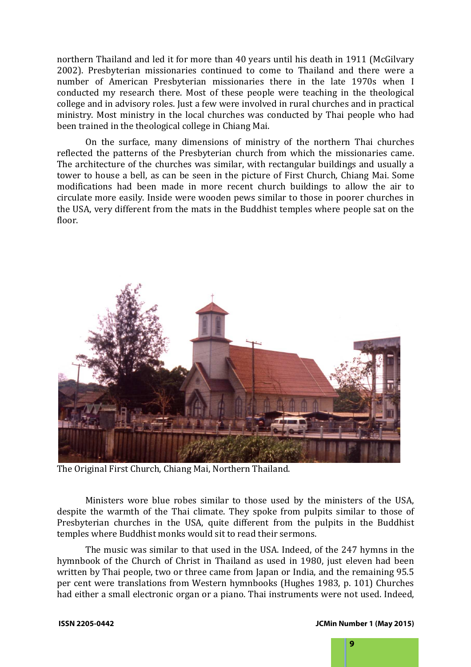northern Thailand and led it for more than 40 years until his death in 1911 (McGilvary 2002). Presbyterian missionaries continued to come to Thailand and there were a number of American Presbyterian missionaries there in the late 1970s when I conducted my research there. Most of these people were teaching in the theological college and in advisory roles. Just a few were involved in rural churches and in practical ministry. Most ministry in the local churches was conducted by Thai people who had been trained in the theological college in Chiang Mai.

On the surface, many dimensions of ministry of the northern Thai churches reflected the patterns of the Presbyterian church from which the missionaries came. The architecture of the churches was similar, with rectangular buildings and usually a tower to house a bell, as can be seen in the picture of First Church, Chiang Mai. Some modifications had been made in more recent church buildings to allow the air to circulate more easily. Inside were wooden pews similar to those in poorer churches in the USA, very different from the mats in the Buddhist temples where people sat on the floor.



The Original First Church, Chiang Mai, Northern Thailand.

Ministers wore blue robes similar to those used by the ministers of the USA, despite the warmth of the Thai climate. They spoke from pulpits similar to those of Presbyterian churches in the USA, quite different from the pulpits in the Buddhist temples where Buddhist monks would sit to read their sermons.

The music was similar to that used in the USA. Indeed, of the 247 hymns in the hymnbook of the Church of Christ in Thailand as used in 1980, just eleven had been written by Thai people, two or three came from Japan or India, and the remaining 95.5 per cent were translations from Western hymnbooks (Hughes 1983, p. 101) Churches had either a small electronic organ or a piano. Thai instruments were not used. Indeed,

**9**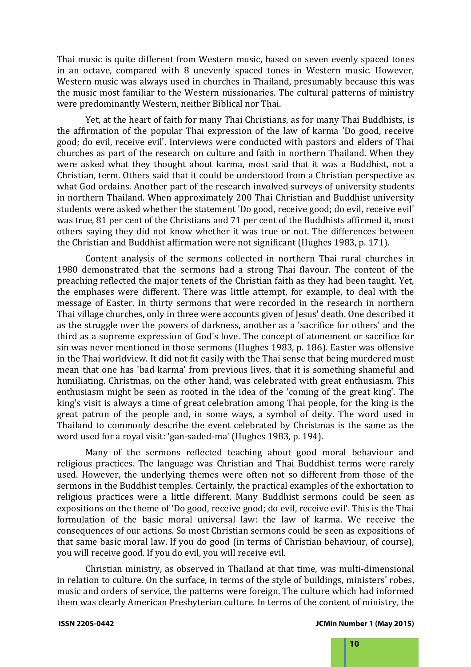Thai music is quite different from Western music, based on seven evenly spaced tones in an octave, compared with 8 unevenly spaced tones in Western music. However, Western music was always used in churches in Thailand, presumably because this was the music most familiar to the Western missionaries. The cultural patterns of ministry were predominantly Western, neither Biblical nor Thai.

Yet, at the heart of faith for many Thai Christians, as for many Thai Buddhists, is the affirmation of the popular Thai expression of the law of karma 'Do good, receive good; do evil, receive evil'. Interviews were conducted with pastors and elders of Thai churches as part of the research on culture and faith in northern Thailand. When they were asked what they thought about karma, most said that it was a Buddhist, not a Christian, term. Others said that it could be understood from a Christian perspective as what God ordains. Another part of the research involved surveys of university students in northern Thailand. When approximately 200 Thai Christian and Buddhist university students were asked whether the statement 'Do good, receive good; do evil, receive evil' was true, 81 per cent of the Christians and 71 per cent of the Buddhists affirmed it, most others saying they did not know whether it was true or not. The differences between the Christian and Buddhist affirmation were not significant (Hughes 1983, p. 171).

Content analysis of the sermons collected in northern Thai rural churches in 1980 demonstrated that the sermons had a strong Thai flavour. The content of the preaching reflected the major tenets of the Christian faith as they had been taught. Yet, the emphases were different. There was little attempt, for example, to deal with the message of Easter. In thirty sermons that were recorded in the research in northern Thai village churches, only in three were accounts given of Jesus' death. One described it as the struggle over the powers of darkness, another as a 'sacrifice for others' and the third as a supreme expression of God's love. The concept of atonement or sacrifice for sin was never mentioned in those sermons (Hughes 1983, p. 186). Easter was offensive in the Thai worldview. It did not fit easily with the Thai sense that being murdered must mean that one has 'bad karma' from previous lives, that it is something shameful and humiliating. Christmas, on the other hand, was celebrated with great enthusiasm. This enthusiasm might be seen as rooted in the idea of the 'coming of the great king'. The king's visit is always a time of great celebration among Thai people, for the king is the great patron of the people and, in some ways, a symbol of deity. The word used in Thailand to commonly describe the event celebrated by Christmas is the same as the word used for a royal visit: 'gan-saded-ma' (Hughes 1983, p. 194).

Many of the sermons reflected teaching about good moral behaviour and religious practices. The language was Christian and Thai Buddhist terms were rarely used. However, the underlying themes were often not so different from those of the sermons in the Buddhist temples. Certainly, the practical examples of the exhortation to religious practices were a little different. Many Buddhist sermons could be seen as expositions on the theme of 'Do good, receive good; do evil, receive evil'. This is the Thai formulation of the basic moral universal law: the law of karma. We receive the consequences of our actions. So most Christian sermons could be seen as expositions of that same basic moral law. If you do good (in terms of Christian behaviour, of course), you will receive good. If you do evil, you will receive evil.

Christian ministry, as observed in Thailand at that time, was multi-dimensional in relation to culture. On the surface, in terms of the style of buildings, ministers' robes, music and orders of service, the patterns were foreign. The culture which had informed them was clearly American Presbyterian culture. In terms of the content of ministry, the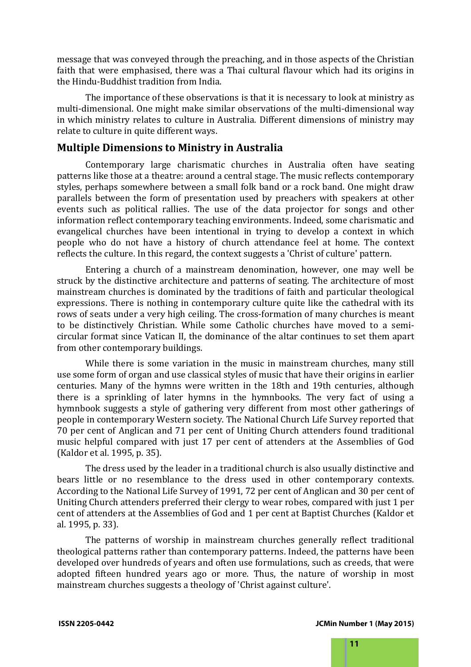message that was conveyed through the preaching, and in those aspects of the Christian faith that were emphasised, there was a Thai cultural flavour which had its origins in the Hindu-Buddhist tradition from India.

The importance of these observations is that it is necessary to look at ministry as multi-dimensional. One might make similar observations of the multi-dimensional way in which ministry relates to culture in Australia. Different dimensions of ministry may relate to culture in quite different ways.

### **Multiple Dimensions to Ministry in Australia**

Contemporary large charismatic churches in Australia often have seating patterns like those at a theatre: around a central stage. The music reflects contemporary styles, perhaps somewhere between a small folk band or a rock band. One might draw parallels between the form of presentation used by preachers with speakers at other events such as political rallies. The use of the data projector for songs and other information reflect contemporary teaching environments. Indeed, some charismatic and evangelical churches have been intentional in trying to develop a context in which people who do not have a history of church attendance feel at home. The context reflects the culture. In this regard, the context suggests a 'Christ of culture' pattern.

Entering a church of a mainstream denomination, however, one may well be struck by the distinctive architecture and patterns of seating. The architecture of most mainstream churches is dominated by the traditions of faith and particular theological expressions. There is nothing in contemporary culture quite like the cathedral with its rows of seats under a very high ceiling. The cross-formation of many churches is meant to be distinctively Christian. While some Catholic churches have moved to a semicircular format since Vatican II, the dominance of the altar continues to set them apart from other contemporary buildings.

While there is some variation in the music in mainstream churches, many still use some form of organ and use classical styles of music that have their origins in earlier centuries. Many of the hymns were written in the 18th and 19th centuries, although there is a sprinkling of later hymns in the hymnbooks. The very fact of using a hymnbook suggests a style of gathering very different from most other gatherings of people in contemporary Western society. The National Church Life Survey reported that 70 per cent of Anglican and 71 per cent of Uniting Church attenders found traditional music helpful compared with just 17 per cent of attenders at the Assemblies of God (Kaldor et al. 1995, p. 35).

The dress used by the leader in a traditional church is also usually distinctive and bears little or no resemblance to the dress used in other contemporary contexts. According to the National Life Survey of 1991, 72 per cent of Anglican and 30 per cent of Uniting Church attenders preferred their clergy to wear robes, compared with just 1 per cent of attenders at the Assemblies of God and 1 per cent at Baptist Churches (Kaldor et al. 1995, p. 33).

The patterns of worship in mainstream churches generally reflect traditional theological patterns rather than contemporary patterns. Indeed, the patterns have been developed over hundreds of years and often use formulations, such as creeds, that were adopted fifteen hundred years ago or more. Thus, the nature of worship in most mainstream churches suggests a theology of 'Christ against culture'.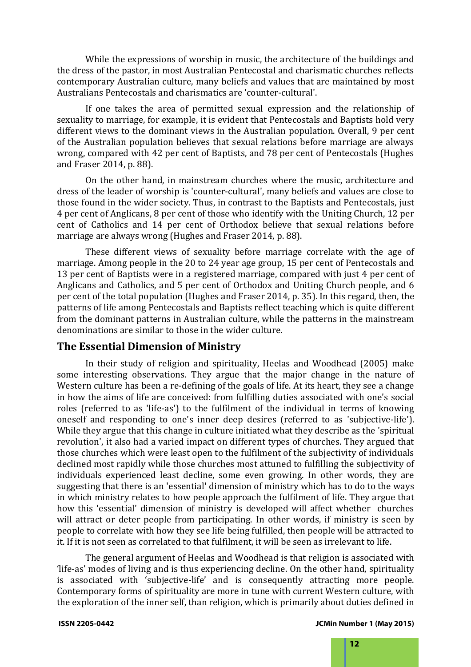While the expressions of worship in music, the architecture of the buildings and the dress of the pastor, in most Australian Pentecostal and charismatic churches reflects contemporary Australian culture, many beliefs and values that are maintained by most Australians Pentecostals and charismatics are 'counter-cultural'.

If one takes the area of permitted sexual expression and the relationship of sexuality to marriage, for example, it is evident that Pentecostals and Baptists hold very different views to the dominant views in the Australian population. Overall, 9 per cent of the Australian population believes that sexual relations before marriage are always wrong, compared with 42 per cent of Baptists, and 78 per cent of Pentecostals (Hughes and Fraser 2014, p. 88).

On the other hand, in mainstream churches where the music, architecture and dress of the leader of worship is 'counter-cultural', many beliefs and values are close to those found in the wider society. Thus, in contrast to the Baptists and Pentecostals, just 4 per cent of Anglicans, 8 per cent of those who identify with the Uniting Church, 12 per cent of Catholics and 14 per cent of Orthodox believe that sexual relations before marriage are always wrong (Hughes and Fraser 2014, p. 88).

These different views of sexuality before marriage correlate with the age of marriage. Among people in the 20 to 24 year age group, 15 per cent of Pentecostals and 13 per cent of Baptists were in a registered marriage, compared with just 4 per cent of Anglicans and Catholics, and 5 per cent of Orthodox and Uniting Church people, and 6 per cent of the total population (Hughes and Fraser 2014, p. 35). In this regard, then, the patterns of life among Pentecostals and Baptists reflect teaching which is quite different from the dominant patterns in Australian culture, while the patterns in the mainstream denominations are similar to those in the wider culture.

### **The Essential Dimension of Ministry**

In their study of religion and spirituality, Heelas and Woodhead (2005) make some interesting observations. They argue that the major change in the nature of Western culture has been a re-defining of the goals of life. At its heart, they see a change in how the aims of life are conceived: from fulfilling duties associated with one's social roles (referred to as 'life-as') to the fulfilment of the individual in terms of knowing oneself and responding to one's inner deep desires (referred to as 'subjective-life'). While they argue that this change in culture initiated what they describe as the 'spiritual revolution', it also had a varied impact on different types of churches. They argued that those churches which were least open to the fulfilment of the subjectivity of individuals declined most rapidly while those churches most attuned to fulfilling the subjectivity of individuals experienced least decline, some even growing. In other words, they are suggesting that there is an 'essential' dimension of ministry which has to do to the ways in which ministry relates to how people approach the fulfilment of life. They argue that how this 'essential' dimension of ministry is developed will affect whether churches will attract or deter people from participating. In other words, if ministry is seen by people to correlate with how they see life being fulfilled, then people will be attracted to it. If it is not seen as correlated to that fulfilment, it will be seen as irrelevant to life.

The general argument of Heelas and Woodhead is that religion is associated with 'life-as' modes of living and is thus experiencing decline. On the other hand, spirituality is associated with 'subjective-life' and is consequently attracting more people. Contemporary forms of spirituality are more in tune with current Western culture, with the exploration of the inner self, than religion, which is primarily about duties defined in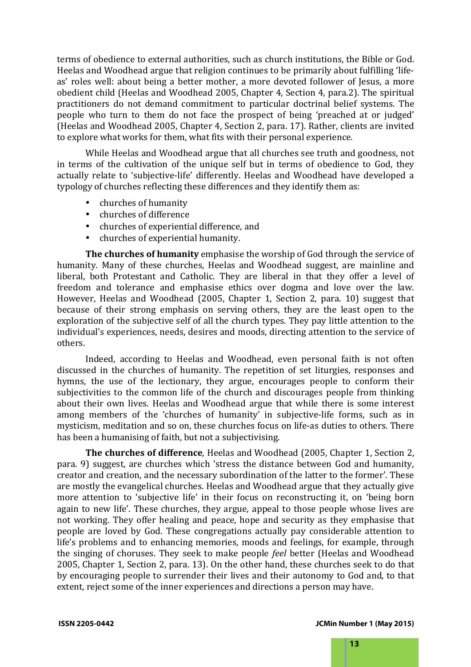terms of obedience to external authorities, such as church institutions, the Bible or God. Heelas and Woodhead argue that religion continues to be primarily about fulfilling 'lifeas' roles well: about being a better mother, a more devoted follower of Jesus, a more obedient child (Heelas and Woodhead 2005, Chapter 4, Section 4, para.2). The spiritual practitioners do not demand commitment to particular doctrinal belief systems. The people who turn to them do not face the prospect of being 'preached at or judged' (Heelas and Woodhead 2005, Chapter 4, Section 2, para. 17). Rather, clients are invited to explore what works for them, what fits with their personal experience.

While Heelas and Woodhead argue that all churches see truth and goodness, not in terms of the cultivation of the unique self but in terms of obedience to God, they actually relate to 'subjective-life' differently. Heelas and Woodhead have developed a typology of churches reflecting these differences and they identify them as:

- churches of humanity
- churches of difference
- churches of experiential difference, and
- churches of experiential humanity.

**The churches of humanity** emphasise the worship of God through the service of humanity. Many of these churches, Heelas and Woodhead suggest, are mainline and liberal, both Protestant and Catholic. They are liberal in that they offer a level of freedom and tolerance and emphasise ethics over dogma and love over the law. However, Heelas and Woodhead (2005, Chapter 1, Section 2, para. 10) suggest that because of their strong emphasis on serving others, they are the least open to the exploration of the subjective self of all the church types. They pay little attention to the individual's experiences, needs, desires and moods, directing attention to the service of others.

Indeed, according to Heelas and Woodhead, even personal faith is not often discussed in the churches of humanity. The repetition of set liturgies, responses and hymns, the use of the lectionary, they argue, encourages people to conform their subjectivities to the common life of the church and discourages people from thinking about their own lives. Heelas and Woodhead argue that while there is some interest among members of the 'churches of humanity' in subjective-life forms, such as in mysticism, meditation and so on, these churches focus on life-as duties to others. There has been a humanising of faith, but not a subjectivising.

**The churches of difference**, Heelas and Woodhead (2005, Chapter 1, Section 2, para. 9) suggest, are churches which 'stress the distance between God and humanity, creator and creation, and the necessary subordination of the latter to the former'. These are mostly the evangelical churches. Heelas and Woodhead argue that they actually give more attention to 'subjective life' in their focus on reconstructing it, on 'being born again to new life'. These churches, they argue, appeal to those people whose lives are not working. They offer healing and peace, hope and security as they emphasise that people are loved by God. These congregations actually pay considerable attention to life's problems and to enhancing memories, moods and feelings, for example, through the singing of choruses. They seek to make people *feel* better (Heelas and Woodhead 2005, Chapter 1, Section 2, para. 13). On the other hand, these churches seek to do that by encouraging people to surrender their lives and their autonomy to God and, to that extent, reject some of the inner experiences and directions a person may have.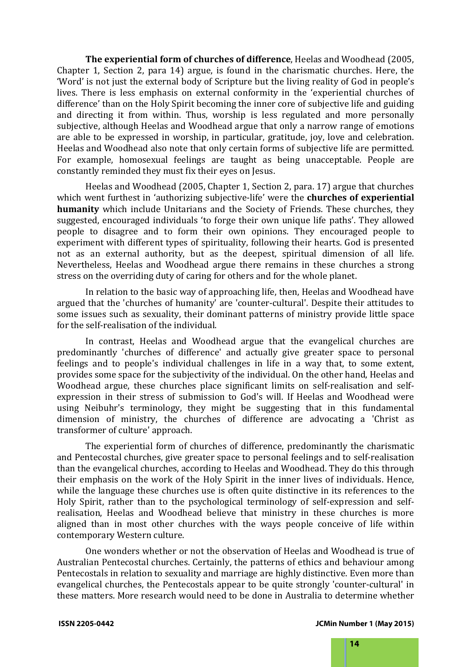**The experiential form of churches of difference**, Heelas and Woodhead (2005, Chapter 1, Section 2, para 14) argue, is found in the charismatic churches. Here, the 'Word' is not just the external body of Scripture but the living reality of God in people's lives. There is less emphasis on external conformity in the 'experiential churches of difference' than on the Holy Spirit becoming the inner core of subjective life and guiding and directing it from within. Thus, worship is less regulated and more personally subjective, although Heelas and Woodhead argue that only a narrow range of emotions are able to be expressed in worship, in particular, gratitude, joy, love and celebration. Heelas and Woodhead also note that only certain forms of subjective life are permitted. For example, homosexual feelings are taught as being unacceptable. People are constantly reminded they must fix their eyes on Jesus.

Heelas and Woodhead (2005, Chapter 1, Section 2, para. 17) argue that churches which went furthest in 'authorizing subjective-life' were the **churches of experiential humanity** which include Unitarians and the Society of Friends. These churches, they suggested, encouraged individuals 'to forge their own unique life paths'. They allowed people to disagree and to form their own opinions. They encouraged people to experiment with different types of spirituality, following their hearts. God is presented not as an external authority, but as the deepest, spiritual dimension of all life. Nevertheless, Heelas and Woodhead argue there remains in these churches a strong stress on the overriding duty of caring for others and for the whole planet.

In relation to the basic way of approaching life, then, Heelas and Woodhead have argued that the 'churches of humanity' are 'counter-cultural'. Despite their attitudes to some issues such as sexuality, their dominant patterns of ministry provide little space for the self-realisation of the individual.

In contrast, Heelas and Woodhead argue that the evangelical churches are predominantly 'churches of difference' and actually give greater space to personal feelings and to people's individual challenges in life in a way that, to some extent, provides some space for the subjectivity of the individual. On the other hand, Heelas and Woodhead argue, these churches place significant limits on self-realisation and selfexpression in their stress of submission to God's will. If Heelas and Woodhead were using Neibuhr's terminology, they might be suggesting that in this fundamental dimension of ministry, the churches of difference are advocating a 'Christ as transformer of culture' approach.

The experiential form of churches of difference, predominantly the charismatic and Pentecostal churches, give greater space to personal feelings and to self-realisation than the evangelical churches, according to Heelas and Woodhead. They do this through their emphasis on the work of the Holy Spirit in the inner lives of individuals. Hence, while the language these churches use is often quite distinctive in its references to the Holy Spirit, rather than to the psychological terminology of self-expression and selfrealisation, Heelas and Woodhead believe that ministry in these churches is more aligned than in most other churches with the ways people conceive of life within contemporary Western culture.

One wonders whether or not the observation of Heelas and Woodhead is true of Australian Pentecostal churches. Certainly, the patterns of ethics and behaviour among Pentecostals in relation to sexuality and marriage are highly distinctive. Even more than evangelical churches, the Pentecostals appear to be quite strongly 'counter-cultural' in these matters. More research would need to be done in Australia to determine whether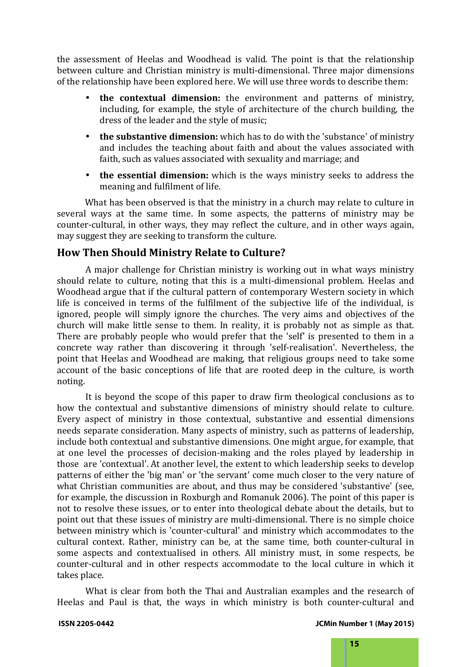the assessment of Heelas and Woodhead is valid. The point is that the relationship between culture and Christian ministry is multi-dimensional. Three major dimensions of the relationship have been explored here. We will use three words to describe them:

- **the contextual dimension:** the environment and patterns of ministry, including, for example, the style of architecture of the church building, the dress of the leader and the style of music;
- **the substantive dimension:** which has to do with the 'substance' of ministry and includes the teaching about faith and about the values associated with faith, such as values associated with sexuality and marriage; and
- **the essential dimension:** which is the ways ministry seeks to address the meaning and fulfilment of life.

What has been observed is that the ministry in a church may relate to culture in several ways at the same time. In some aspects, the patterns of ministry may be counter-cultural, in other ways, they may reflect the culture, and in other ways again, may suggest they are seeking to transform the culture.

### **How Then Should Ministry Relate to Culture?**

A major challenge for Christian ministry is working out in what ways ministry should relate to culture, noting that this is a multi-dimensional problem. Heelas and Woodhead argue that if the cultural pattern of contemporary Western society in which life is conceived in terms of the fulfilment of the subjective life of the individual, is ignored, people will simply ignore the churches. The very aims and objectives of the church will make little sense to them. In reality, it is probably not as simple as that. There are probably people who would prefer that the 'self' is presented to them in a concrete way rather than discovering it through 'self-realisation'. Nevertheless, the point that Heelas and Woodhead are making, that religious groups need to take some account of the basic conceptions of life that are rooted deep in the culture, is worth noting.

It is beyond the scope of this paper to draw firm theological conclusions as to how the contextual and substantive dimensions of ministry should relate to culture. Every aspect of ministry in those contextual, substantive and essential dimensions needs separate consideration. Many aspects of ministry, such as patterns of leadership, include both contextual and substantive dimensions. One might argue, for example, that at one level the processes of decision-making and the roles played by leadership in those are 'contextual'. At another level, the extent to which leadership seeks to develop patterns of either the 'big man' or 'the servant' come much closer to the very nature of what Christian communities are about, and thus may be considered 'substantive' (see, for example, the discussion in Roxburgh and Romanuk 2006). The point of this paper is not to resolve these issues, or to enter into theological debate about the details, but to point out that these issues of ministry are multi-dimensional. There is no simple choice between ministry which is 'counter-cultural' and ministry which accommodates to the cultural context. Rather, ministry can be, at the same time, both counter-cultural in some aspects and contextualised in others. All ministry must, in some respects, be counter-cultural and in other respects accommodate to the local culture in which it takes place.

What is clear from both the Thai and Australian examples and the research of Heelas and Paul is that, the ways in which ministry is both counter-cultural and